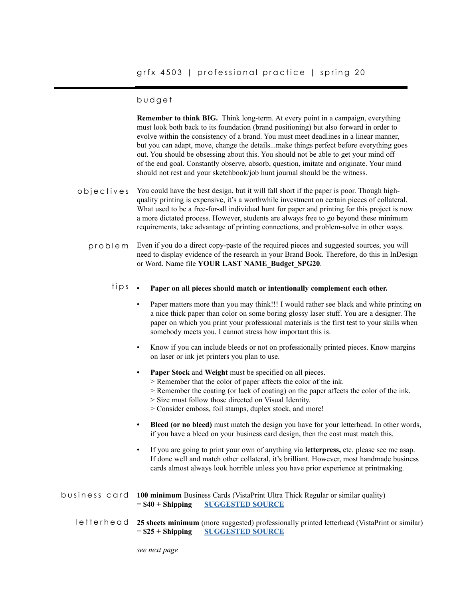## budget

**Remember to think BIG.** Think long-term. At every point in a campaign, everything must look both back to its foundation (brand positioning) but also forward in order to evolve within the consistency of a brand. You must meet deadlines in a linear manner, but you can adapt, move, change the details...make things perfect before everything goes out. You should be obsessing about this. You should not be able to get your mind off of the end goal. Constantly observe, absorb, question, imitate and originate. Your mind should not rest and your sketchbook/job hunt journal should be the witness.

- You could have the best design, but it will fall short if the paper is poor. Though highquality printing is expensive, it's a worthwhile investment on certain pieces of collateral. What used to be a free-for-all individual hunt for paper and printing for this project is now a more dictated process. However, students are always free to go beyond these minimum requirements, take advantage of printing connections, and problem-solve in other ways. objectives
	- problem Even if you do a direct copy-paste of the required pieces and suggested sources, you will need to display evidence of the research in your Brand Book. Therefore, do this in InDesign or Word. Name file **YOUR LAST NAME\_Budget\_SPG20**.

#### **• Paper on all pieces should match or intentionally complement each other.** tips.

- Paper matters more than you may think!!! I would rather see black and white printing on a nice thick paper than color on some boring glossy laser stuff. You are a designer. The paper on which you print your professional materials is the first test to your skills when somebody meets you. I cannot stress how important this is.
- Know if you can include bleeds or not on professionally printed pieces. Know margins on laser or ink jet printers you plan to use.
- **• Paper Stock** and **Weight** must be specified on all pieces.
	- > Remember that the color of paper affects the color of the ink.
	- > Remember the coating (or lack of coating) on the paper affects the color of the ink.
	- > Size must follow those directed on Visual Identity.
	- > Consider emboss, foil stamps, duplex stock, and more!
- **• Bleed (or no bleed)** must match the design you have for your letterhead. In other words, if you have a bleed on your business card design, then the cost must match this.
- If you are going to print your own of anything via **letterpress,** etc. please see me asap. If done well and match other collateral, it's brilliant. However, most handmade business cards almost always look horrible unless you have prior experience at printmaking.

| business card 100 minimum Business Cards (VistaPrint Ultra Thick Regular or similar quality) |                                                        |
|----------------------------------------------------------------------------------------------|--------------------------------------------------------|
|                                                                                              | $= $40 + Shipping \qquad \underline{SUGGESTED\ SOURE}$ |
|                                                                                              |                                                        |

letterhead 25 sheets minimum (more suggested) professionally printed letterhead (VistaPrint or similar) = **\$25 + Shipping [SUGGESTED SOURCE](https://www.vistaprint.com/stationery/letterhead?xnav=swsProductOnly_ResultTitle)**

*see next page*